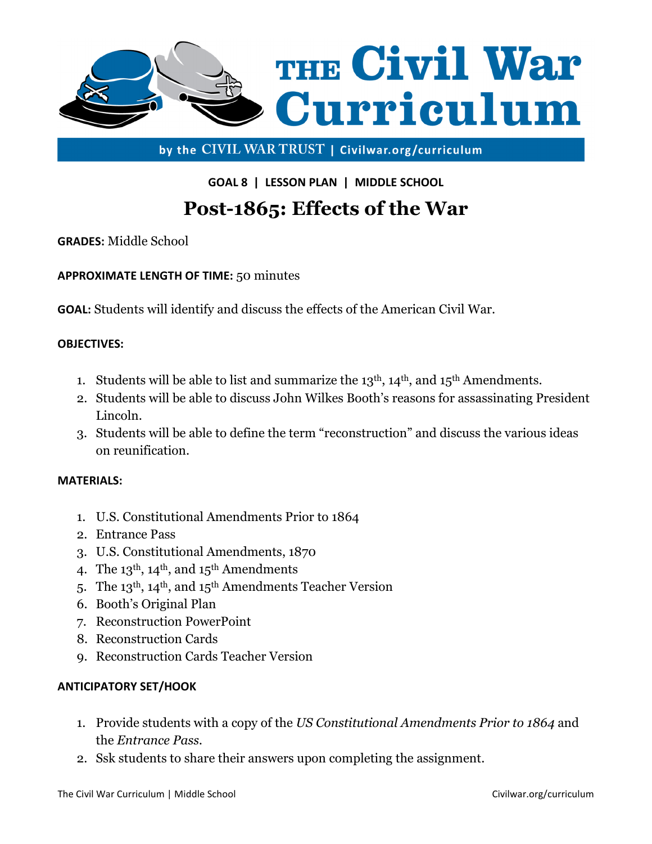

by the CIVIL WAR TRUST | Civilwar.org/curriculum

GOAL 8 | LESSON PLAN | MIDDLE SCHOOL

# Post-1865: Effects of the War

GRADES: Middle School

APPROXIMATE LENGTH OF TIME: 50 minutes

GOAL: Students will identify and discuss the effects of the American Civil War.

### OBJECTIVES:

- 1. Students will be able to list and summarize the  $13<sup>th</sup>$ ,  $14<sup>th</sup>$ , and  $15<sup>th</sup>$  Amendments.
- 2. Students will be able to discuss John Wilkes Booth's reasons for assassinating President Lincoln.
- 3. Students will be able to define the term "reconstruction" and discuss the various ideas on reunification.

#### MATERIALS:

- 1. U.S. Constitutional Amendments Prior to 1864
- 2. Entrance Pass
- 3. U.S. Constitutional Amendments, 1870
- 4. The  $13<sup>th</sup>$ ,  $14<sup>th</sup>$ , and  $15<sup>th</sup>$  Amendments
- 5. The 13th, 14th, and 15th Amendments Teacher Version
- 6. Booth's Original Plan
- 7. Reconstruction PowerPoint
- 8. Reconstruction Cards
- 9. Reconstruction Cards Teacher Version

### ANTICIPATORY SET/HOOK

- 1. Provide students with a copy of the US Constitutional Amendments Prior to 1864 and the Entrance Pass.
- 2. Ssk students to share their answers upon completing the assignment.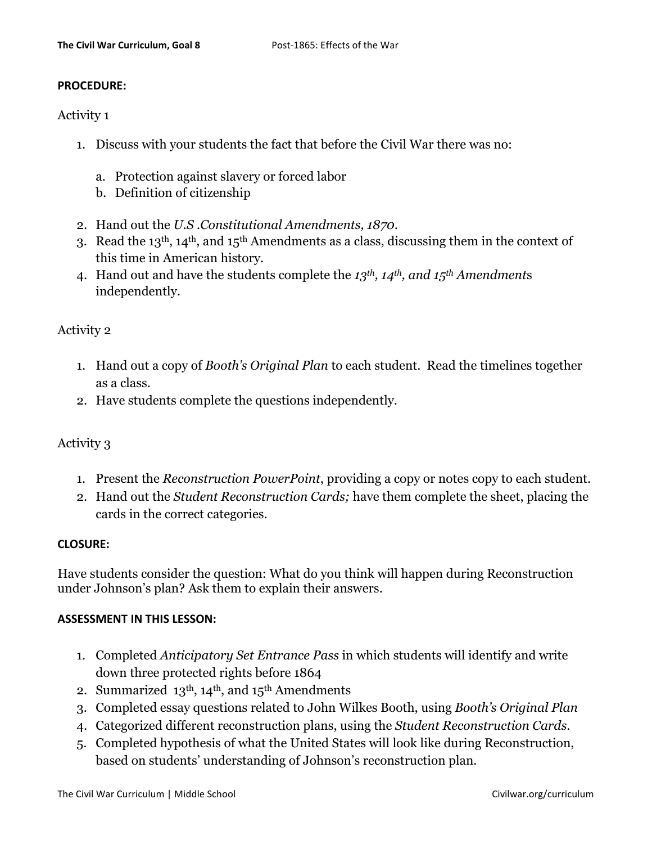#### PROCEDURE:

### Activity 1

- 1. Discuss with your students the fact that before the Civil War there was no:
	- a. Protection against slavery or forced labor
	- b. Definition of citizenship
- 2. Hand out the U.S .Constitutional Amendments, 1870.
- 3. Read the 13th, 14th, and 15th Amendments as a class, discussing them in the context of this time in American history.
- 4. Hand out and have the students complete the 13<sup>th</sup>, 14<sup>th</sup>, and 15<sup>th</sup> Amendments independently.

## Activity 2

- 1. Hand out a copy of Booth's Original Plan to each student. Read the timelines together as a class.
- 2. Have students complete the questions independently.

# Activity 3

- 1. Present the Reconstruction PowerPoint, providing a copy or notes copy to each student.
- 2. Hand out the Student Reconstruction Cards; have them complete the sheet, placing the cards in the correct categories.

### CLOSURE:

Have students consider the question: What do you think will happen during Reconstruction under Johnson's plan? Ask them to explain their answers.

#### ASSESSMENT IN THIS LESSON:

- 1. Completed Anticipatory Set Entrance Pass in which students will identify and write down three protected rights before 1864
- 2. Summarized  $13<sup>th</sup>$ ,  $14<sup>th</sup>$ , and  $15<sup>th</sup>$  Amendments
- 3. Completed essay questions related to John Wilkes Booth, using Booth's Original Plan
- 4. Categorized different reconstruction plans, using the Student Reconstruction Cards.
- 5. Completed hypothesis of what the United States will look like during Reconstruction, based on students' understanding of Johnson's reconstruction plan.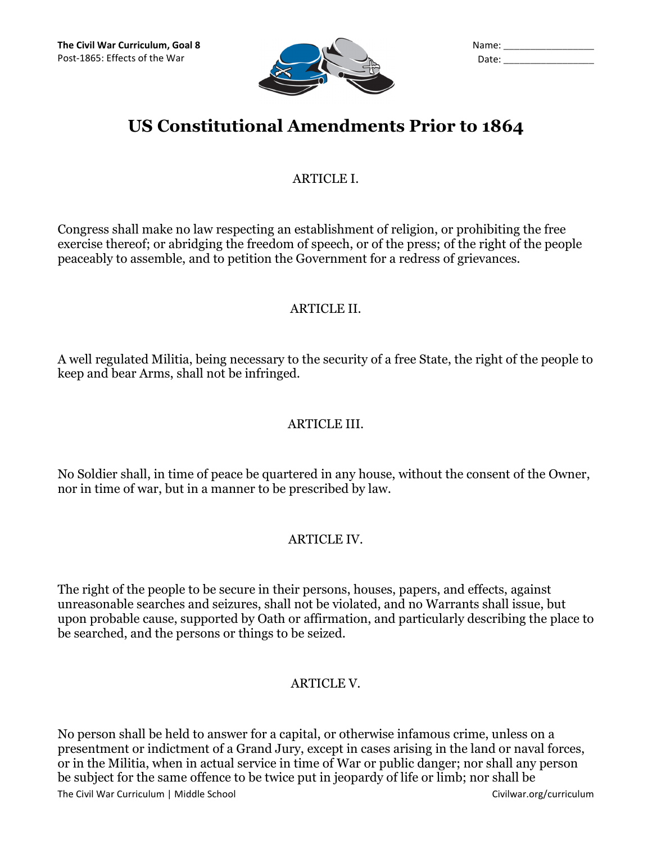

| Name: |  |
|-------|--|
| Date: |  |

# US Constitutional Amendments Prior to 1864

# ARTICLE I.

Congress shall make no law respecting an establishment of religion, or prohibiting the free exercise thereof; or abridging the freedom of speech, or of the press; of the right of the people peaceably to assemble, and to petition the Government for a redress of grievances.

# ARTICLE II.

A well regulated Militia, being necessary to the security of a free State, the right of the people to keep and bear Arms, shall not be infringed.

# ARTICLE III.

No Soldier shall, in time of peace be quartered in any house, without the consent of the Owner, nor in time of war, but in a manner to be prescribed by law.

# ARTICLE IV.

The right of the people to be secure in their persons, houses, papers, and effects, against unreasonable searches and seizures, shall not be violated, and no Warrants shall issue, but upon probable cause, supported by Oath or affirmation, and particularly describing the place to be searched, and the persons or things to be seized.

# ARTICLE V.

The Civil War Curriculum | Middle School Civilwar.org/curriculum Civilwar.org/curriculum No person shall be held to answer for a capital, or otherwise infamous crime, unless on a presentment or indictment of a Grand Jury, except in cases arising in the land or naval forces, or in the Militia, when in actual service in time of War or public danger; nor shall any person be subject for the same offence to be twice put in jeopardy of life or limb; nor shall be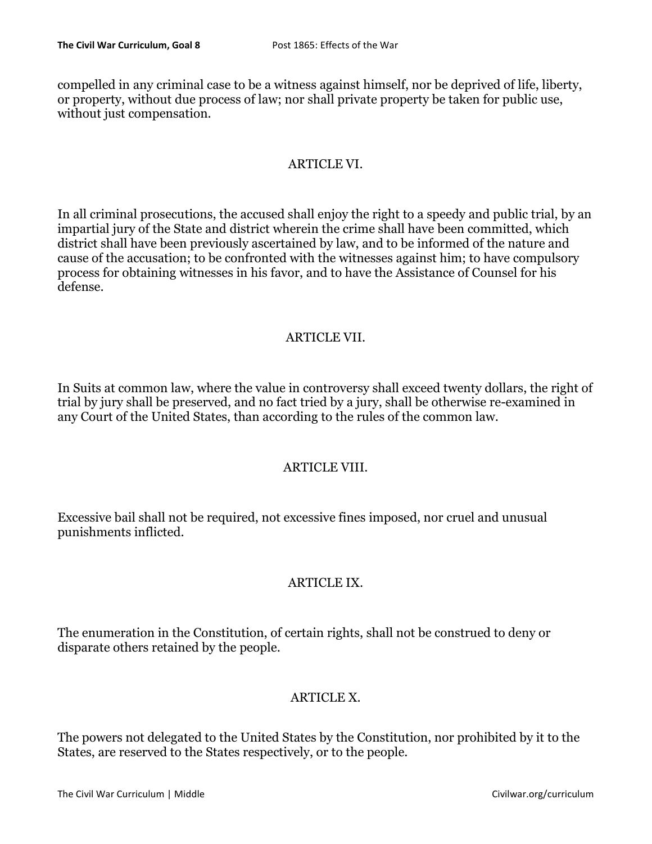compelled in any criminal case to be a witness against himself, nor be deprived of life, liberty, or property, without due process of law; nor shall private property be taken for public use, without just compensation.

# ARTICLE VI.

In all criminal prosecutions, the accused shall enjoy the right to a speedy and public trial, by an impartial jury of the State and district wherein the crime shall have been committed, which district shall have been previously ascertained by law, and to be informed of the nature and cause of the accusation; to be confronted with the witnesses against him; to have compulsory process for obtaining witnesses in his favor, and to have the Assistance of Counsel for his defense.

# ARTICLE VII.

In Suits at common law, where the value in controversy shall exceed twenty dollars, the right of trial by jury shall be preserved, and no fact tried by a jury, shall be otherwise re-examined in any Court of the United States, than according to the rules of the common law.

# ARTICLE VIII.

Excessive bail shall not be required, not excessive fines imposed, nor cruel and unusual punishments inflicted.

# ARTICLE IX.

The enumeration in the Constitution, of certain rights, shall not be construed to deny or disparate others retained by the people.

# ARTICLE X.

The powers not delegated to the United States by the Constitution, nor prohibited by it to the States, are reserved to the States respectively, or to the people.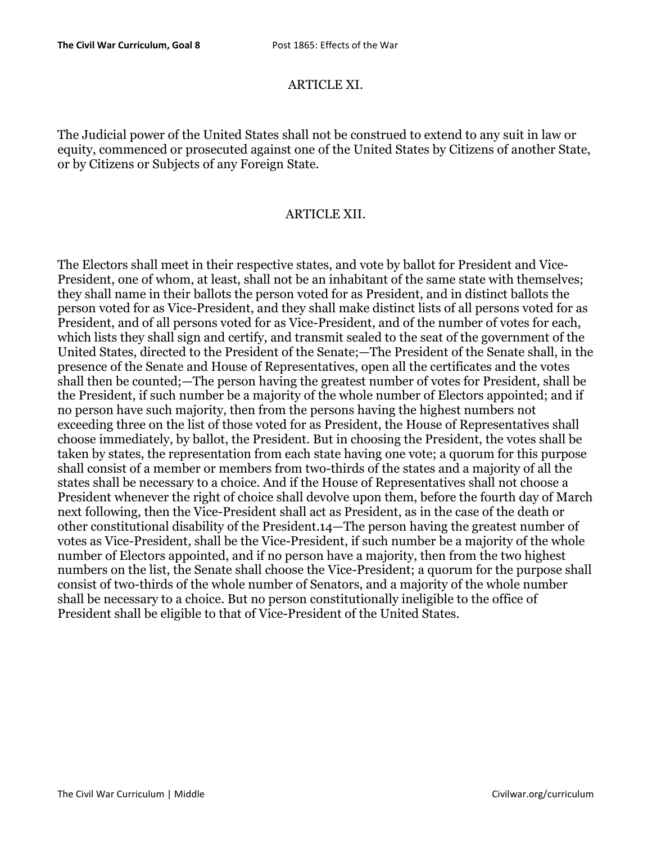### ARTICLE XI.

The Judicial power of the United States shall not be construed to extend to any suit in law or equity, commenced or prosecuted against one of the United States by Citizens of another State, or by Citizens or Subjects of any Foreign State.

#### ARTICLE XII.

The Electors shall meet in their respective states, and vote by ballot for President and Vice-President, one of whom, at least, shall not be an inhabitant of the same state with themselves; they shall name in their ballots the person voted for as President, and in distinct ballots the person voted for as Vice-President, and they shall make distinct lists of all persons voted for as President, and of all persons voted for as Vice-President, and of the number of votes for each, which lists they shall sign and certify, and transmit sealed to the seat of the government of the United States, directed to the President of the Senate;—The President of the Senate shall, in the presence of the Senate and House of Representatives, open all the certificates and the votes shall then be counted;—The person having the greatest number of votes for President, shall be the President, if such number be a majority of the whole number of Electors appointed; and if no person have such majority, then from the persons having the highest numbers not exceeding three on the list of those voted for as President, the House of Representatives shall choose immediately, by ballot, the President. But in choosing the President, the votes shall be taken by states, the representation from each state having one vote; a quorum for this purpose shall consist of a member or members from two-thirds of the states and a majority of all the states shall be necessary to a choice. And if the House of Representatives shall not choose a President whenever the right of choice shall devolve upon them, before the fourth day of March next following, then the Vice-President shall act as President, as in the case of the death or other constitutional disability of the President.14—The person having the greatest number of votes as Vice-President, shall be the Vice-President, if such number be a majority of the whole number of Electors appointed, and if no person have a majority, then from the two highest numbers on the list, the Senate shall choose the Vice-President; a quorum for the purpose shall consist of two-thirds of the whole number of Senators, and a majority of the whole number shall be necessary to a choice. But no person constitutionally ineligible to the office of President shall be eligible to that of Vice-President of the United States.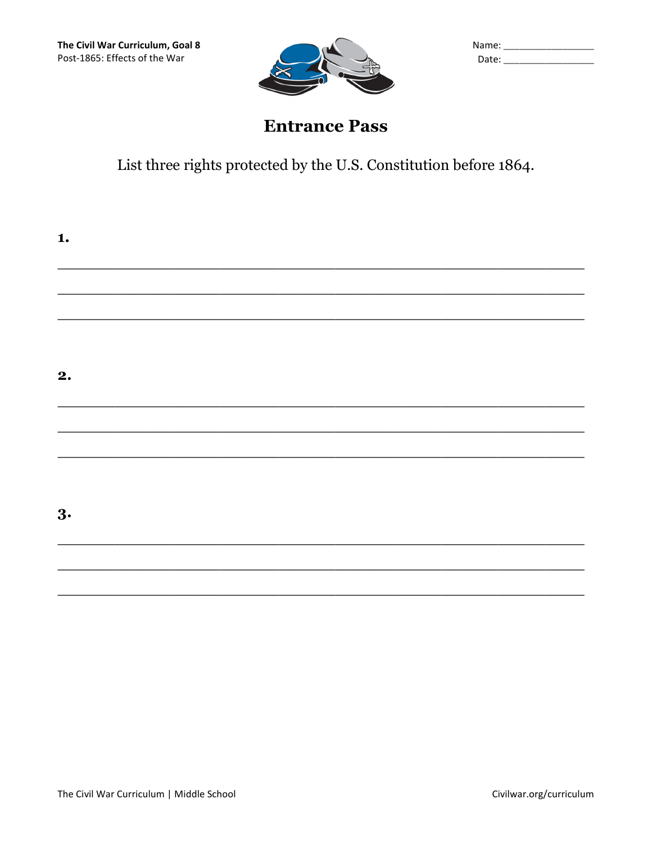

| Name: |  |
|-------|--|
| Date: |  |

# **Entrance Pass**

List three rights protected by the U.S. Constitution before 1864.

| 1. |  |  |  |
|----|--|--|--|
|    |  |  |  |
|    |  |  |  |
| 2. |  |  |  |
|    |  |  |  |
|    |  |  |  |
| 3. |  |  |  |
|    |  |  |  |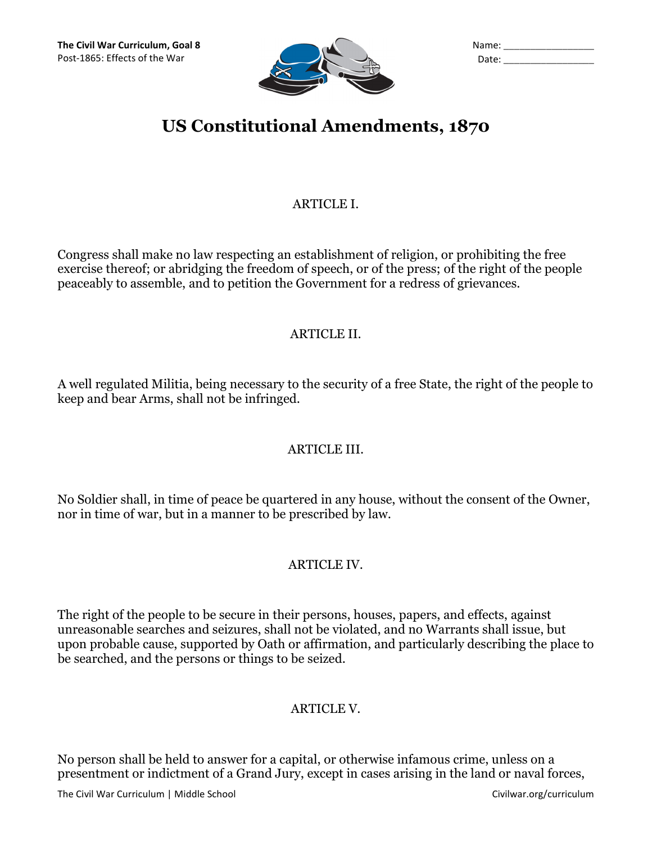

| Name: |  |
|-------|--|
| Date: |  |

# US Constitutional Amendments, 1870

# ARTICLE I.

Congress shall make no law respecting an establishment of religion, or prohibiting the free exercise thereof; or abridging the freedom of speech, or of the press; of the right of the people peaceably to assemble, and to petition the Government for a redress of grievances.

# ARTICLE II.

A well regulated Militia, being necessary to the security of a free State, the right of the people to keep and bear Arms, shall not be infringed.

# ARTICLE III.

No Soldier shall, in time of peace be quartered in any house, without the consent of the Owner, nor in time of war, but in a manner to be prescribed by law.

# ARTICLE IV.

The right of the people to be secure in their persons, houses, papers, and effects, against unreasonable searches and seizures, shall not be violated, and no Warrants shall issue, but upon probable cause, supported by Oath or affirmation, and particularly describing the place to be searched, and the persons or things to be seized.

# ARTICLE V.

No person shall be held to answer for a capital, or otherwise infamous crime, unless on a presentment or indictment of a Grand Jury, except in cases arising in the land or naval forces,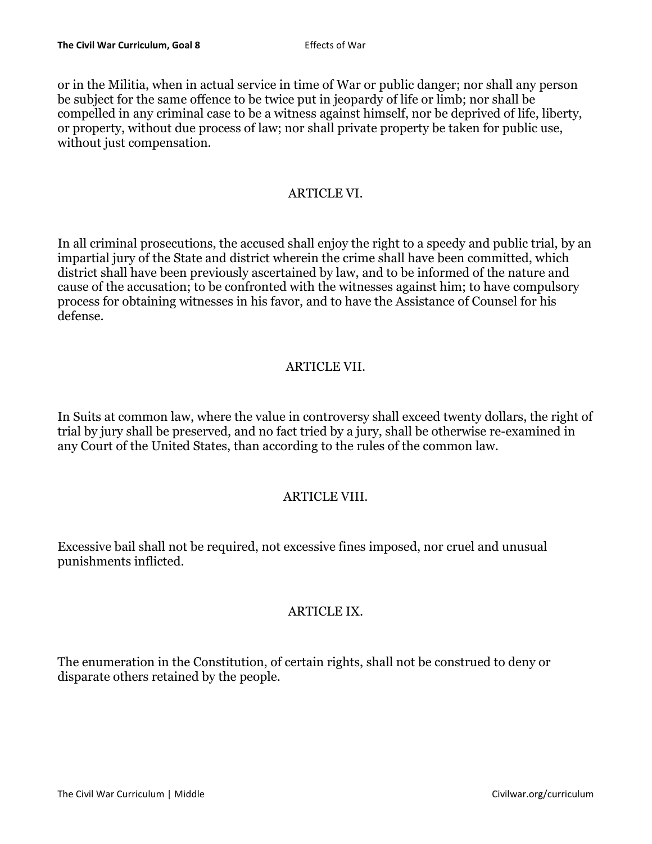or in the Militia, when in actual service in time of War or public danger; nor shall any person be subject for the same offence to be twice put in jeopardy of life or limb; nor shall be compelled in any criminal case to be a witness against himself, nor be deprived of life, liberty, or property, without due process of law; nor shall private property be taken for public use, without just compensation.

## ARTICLE VI.

In all criminal prosecutions, the accused shall enjoy the right to a speedy and public trial, by an impartial jury of the State and district wherein the crime shall have been committed, which district shall have been previously ascertained by law, and to be informed of the nature and cause of the accusation; to be confronted with the witnesses against him; to have compulsory process for obtaining witnesses in his favor, and to have the Assistance of Counsel for his defense.

# ARTICLE VII.

In Suits at common law, where the value in controversy shall exceed twenty dollars, the right of trial by jury shall be preserved, and no fact tried by a jury, shall be otherwise re-examined in any Court of the United States, than according to the rules of the common law.

# ARTICLE VIII.

Excessive bail shall not be required, not excessive fines imposed, nor cruel and unusual punishments inflicted.

# ARTICLE IX.

The enumeration in the Constitution, of certain rights, shall not be construed to deny or disparate others retained by the people.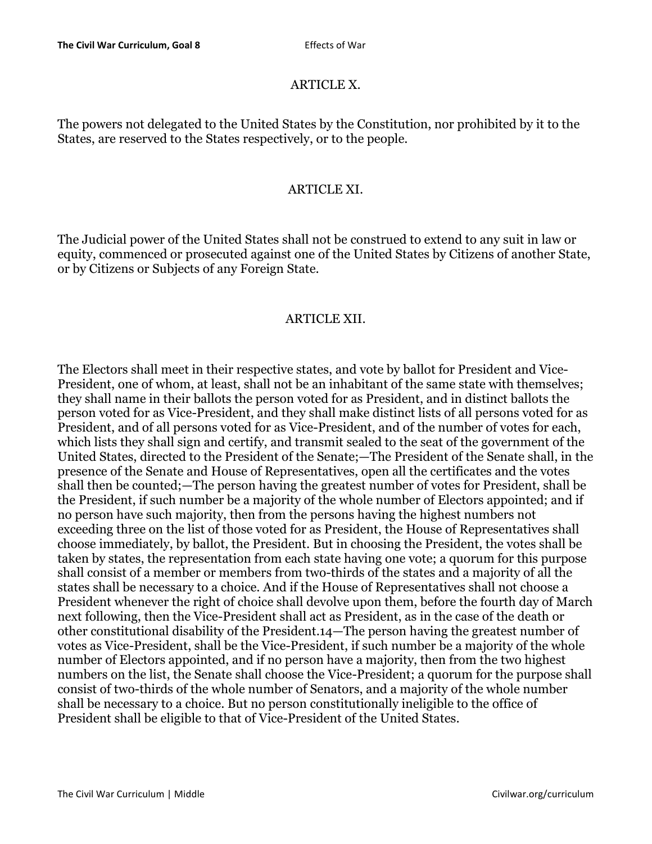# ARTICLE X.

The powers not delegated to the United States by the Constitution, nor prohibited by it to the States, are reserved to the States respectively, or to the people.

### ARTICLE XI.

The Judicial power of the United States shall not be construed to extend to any suit in law or equity, commenced or prosecuted against one of the United States by Citizens of another State, or by Citizens or Subjects of any Foreign State.

# ARTICLE XII.

The Electors shall meet in their respective states, and vote by ballot for President and Vice-President, one of whom, at least, shall not be an inhabitant of the same state with themselves; they shall name in their ballots the person voted for as President, and in distinct ballots the person voted for as Vice-President, and they shall make distinct lists of all persons voted for as President, and of all persons voted for as Vice-President, and of the number of votes for each, which lists they shall sign and certify, and transmit sealed to the seat of the government of the United States, directed to the President of the Senate;—The President of the Senate shall, in the presence of the Senate and House of Representatives, open all the certificates and the votes shall then be counted;—The person having the greatest number of votes for President, shall be the President, if such number be a majority of the whole number of Electors appointed; and if no person have such majority, then from the persons having the highest numbers not exceeding three on the list of those voted for as President, the House of Representatives shall choose immediately, by ballot, the President. But in choosing the President, the votes shall be taken by states, the representation from each state having one vote; a quorum for this purpose shall consist of a member or members from two-thirds of the states and a majority of all the states shall be necessary to a choice. And if the House of Representatives shall not choose a President whenever the right of choice shall devolve upon them, before the fourth day of March next following, then the Vice-President shall act as President, as in the case of the death or other constitutional disability of the President.14—The person having the greatest number of votes as Vice-President, shall be the Vice-President, if such number be a majority of the whole number of Electors appointed, and if no person have a majority, then from the two highest numbers on the list, the Senate shall choose the Vice-President; a quorum for the purpose shall consist of two-thirds of the whole number of Senators, and a majority of the whole number shall be necessary to a choice. But no person constitutionally ineligible to the office of President shall be eligible to that of Vice-President of the United States.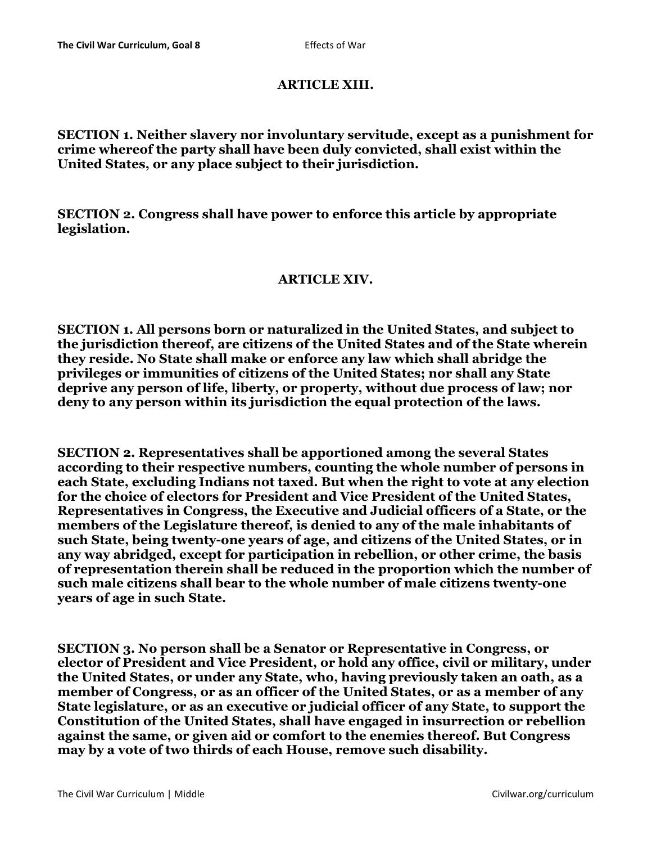## ARTICLE XIII.

# SECTION 1. Neither slavery nor involuntary servitude, except as a punishment for crime whereof the party shall have been duly convicted, shall exist within the United States, or any place subject to their jurisdiction.

SECTION 2. Congress shall have power to enforce this article by appropriate legislation.

### ARTICLE XIV.

SECTION 1. All persons born or naturalized in the United States, and subject to the jurisdiction thereof, are citizens of the United States and of the State wherein they reside. No State shall make or enforce any law which shall abridge the privileges or immunities of citizens of the United States; nor shall any State deprive any person of life, liberty, or property, without due process of law; nor deny to any person within its jurisdiction the equal protection of the laws.

SECTION 2. Representatives shall be apportioned among the several States according to their respective numbers, counting the whole number of persons in each State, excluding Indians not taxed. But when the right to vote at any election for the choice of electors for President and Vice President of the United States, Representatives in Congress, the Executive and Judicial officers of a State, or the members of the Legislature thereof, is denied to any of the male inhabitants of such State, being twenty-one years of age, and citizens of the United States, or in any way abridged, except for participation in rebellion, or other crime, the basis of representation therein shall be reduced in the proportion which the number of such male citizens shall bear to the whole number of male citizens twenty-one years of age in such State.

SECTION 3. No person shall be a Senator or Representative in Congress, or elector of President and Vice President, or hold any office, civil or military, under the United States, or under any State, who, having previously taken an oath, as a member of Congress, or as an officer of the United States, or as a member of any State legislature, or as an executive or judicial officer of any State, to support the Constitution of the United States, shall have engaged in insurrection or rebellion against the same, or given aid or comfort to the enemies thereof. But Congress may by a vote of two thirds of each House, remove such disability.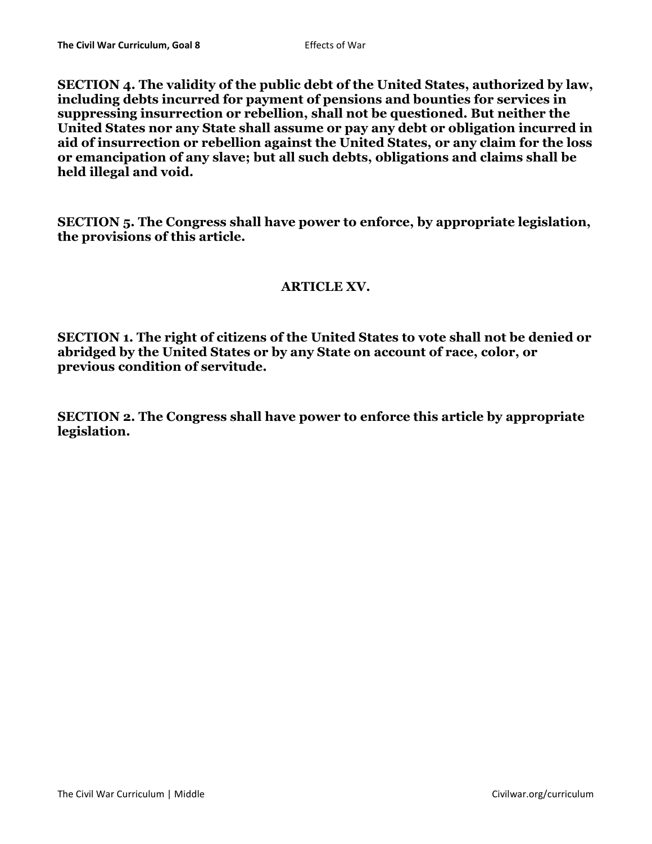SECTION 4. The validity of the public debt of the United States, authorized by law, including debts incurred for payment of pensions and bounties for services in suppressing insurrection or rebellion, shall not be questioned. But neither the United States nor any State shall assume or pay any debt or obligation incurred in aid of insurrection or rebellion against the United States, or any claim for the loss or emancipation of any slave; but all such debts, obligations and claims shall be held illegal and void.

SECTION 5. The Congress shall have power to enforce, by appropriate legislation, the provisions of this article.

# ARTICLE XV.

SECTION 1. The right of citizens of the United States to vote shall not be denied or abridged by the United States or by any State on account of race, color, or previous condition of servitude.

SECTION 2. The Congress shall have power to enforce this article by appropriate legislation.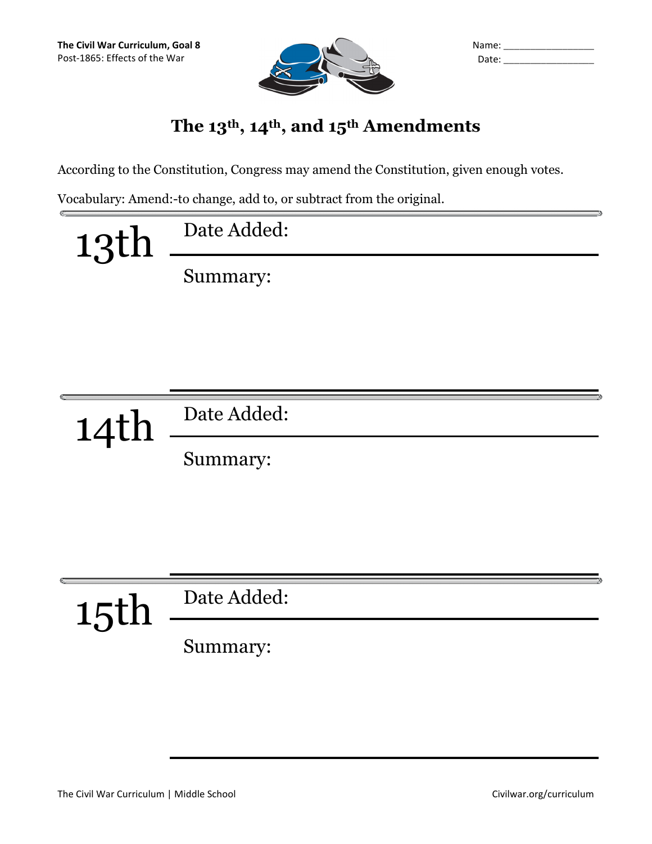

| Name: |  |
|-------|--|
| Date: |  |

# The 13<sup>th</sup>, 14<sup>th</sup>, and 15<sup>th</sup> Amendments

According to the Constitution, Congress may amend the Constitution, given enough votes.

Vocabulary: Amend:-to change, add to, or subtract from the original.

| 13th | Date Added: |
|------|-------------|
|      | Summary:    |



15th Date Added:

Summary: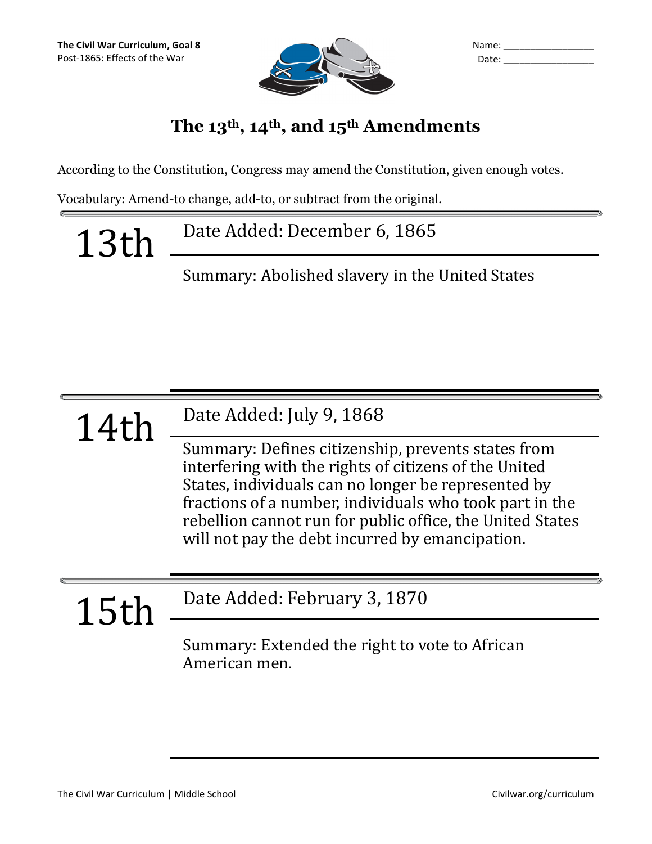

| Name: |  |
|-------|--|
| Date: |  |

# The 13<sup>th</sup>, 14<sup>th</sup>, and 15<sup>th</sup> Amendments

According to the Constitution, Congress may amend the Constitution, given enough votes.

Vocabulary: Amend-to change, add-to, or subtract from the original.

13th Date Added: December 6, 1865

Summary: Abolished slavery in the United States

14th Date Added: July 9, 1868

Summary: Defines citizenship, prevents states from interfering with the rights of citizens of the United States, individuals can no longer be represented by fractions of a number, individuals who took part in the rebellion cannot run for public office, the United States will not pay the debt incurred by emancipation.

15th Date Added: February 3, 1870

Summary: Extended the right to vote to African American men.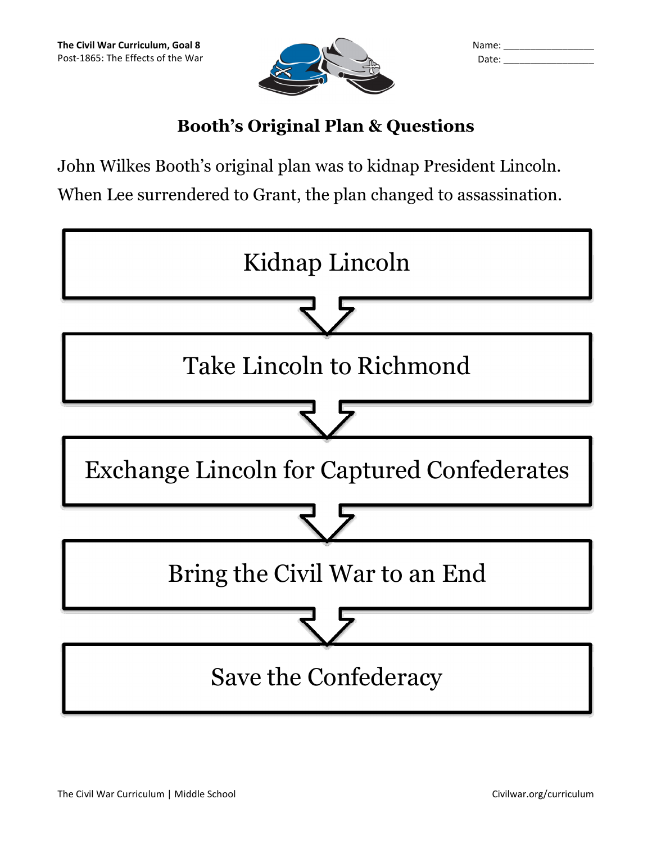

| Name: |  |
|-------|--|
| Date: |  |

# Booth's Original Plan & Questions

John Wilkes Booth's original plan was to kidnap President Lincoln. When Lee surrendered to Grant, the plan changed to assassination.

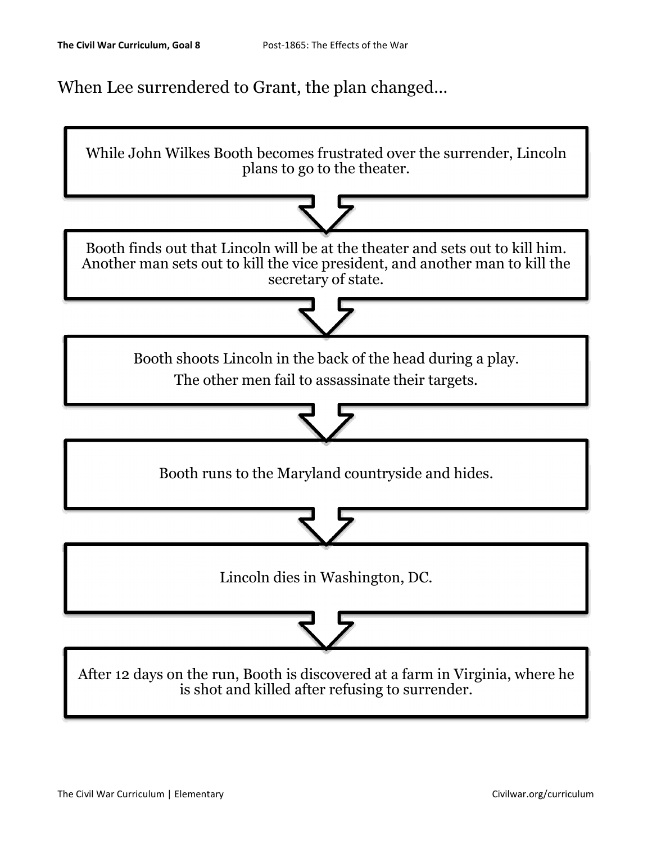When Lee surrendered to Grant, the plan changed…

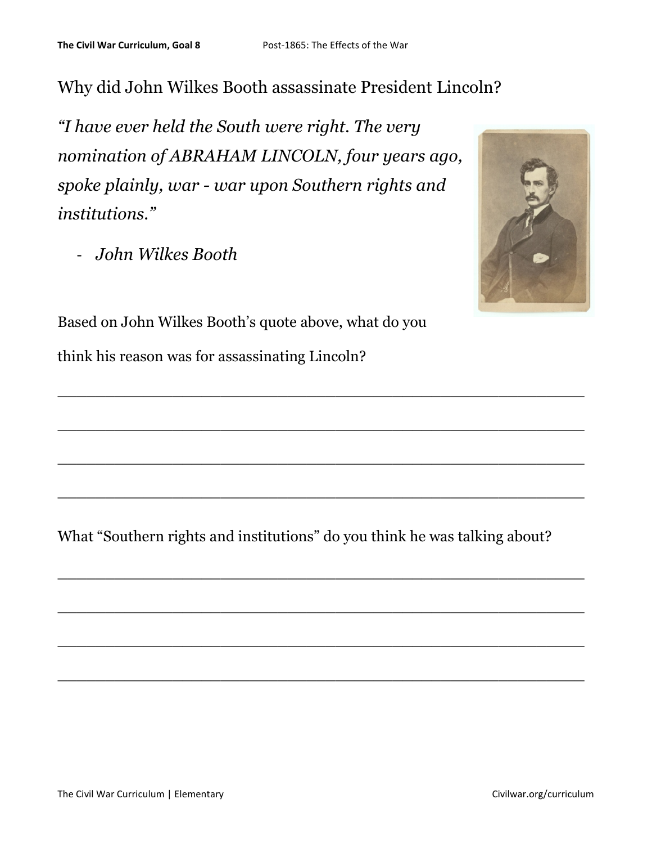# Why did John Wilkes Booth assassinate President Lincoln?

"I have ever held the South were right. The very nomination of ABRAHAM LINCOLN, four years ago, spoke plainly, war - war upon Southern rights and institutions."

- John Wilkes Booth



Based on John Wilkes Booth's quote above, what do you think his reason was for assassinating Lincoln?

What "Southern rights and institutions" do you think he was talking about?

 $\_$  , and the contribution of the contribution of  $\mathcal{L}_\mathcal{A}$  , and the contribution of  $\mathcal{L}_\mathcal{A}$  , and the contribution of  $\mathcal{L}_\mathcal{A}$ 

 $\_$  , and the set of the set of the set of the set of the set of the set of the set of the set of the set of the set of the set of the set of the set of the set of the set of the set of the set of the set of the set of th

 $\_$  , and the contribution of the contribution of  $\mathcal{L}_\mathcal{A}$  , and the contribution of  $\mathcal{L}_\mathcal{A}$  , and the contribution of  $\mathcal{L}_\mathcal{A}$ 

 $\_$  , and the contract of the contract of the contract of the contract of the contract of the contract of the contract of the contract of the contract of the contract of the contract of the contract of the contract of the

 $\_$  , and the contribution of the contribution of  $\mathcal{L}_\mathcal{A}$  , and the contribution of  $\mathcal{L}_\mathcal{A}$  , and the contribution of  $\mathcal{L}_\mathcal{A}$ 

 $\_$  , and the contribution of the contribution of  $\mathcal{L}_\mathcal{A}$  , and the contribution of  $\mathcal{L}_\mathcal{A}$  , and the contribution of  $\mathcal{L}_\mathcal{A}$ 

 $\_$  , and the contribution of the contribution of  $\mathcal{L}_\mathcal{A}$  , and the contribution of  $\mathcal{L}_\mathcal{A}$  , and the contribution of  $\mathcal{L}_\mathcal{A}$ 

 $\_$  , and the contribution of the contribution of  $\mathcal{L}_\mathcal{A}$  , and the contribution of  $\mathcal{L}_\mathcal{A}$  , and the contribution of  $\mathcal{L}_\mathcal{A}$  , and the contribution of  $\mathcal{L}_\mathcal{A}$  , and the contribution of  $\mathcal{L}_$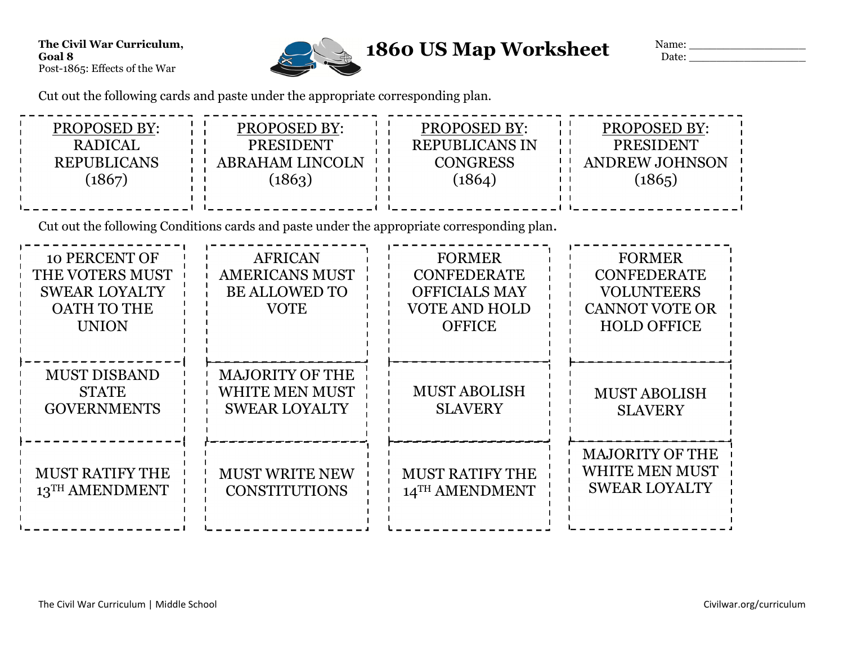

Name: \_\_\_\_\_\_\_\_\_\_\_\_\_\_\_\_\_ Date: \_\_\_\_\_\_\_\_\_\_\_\_\_\_\_\_\_

Cut out the following cards and paste under the appropriate corresponding plan.

| PROPOSED BY:<br><b>RADICAL</b><br><b>REPUBLICANS</b><br>(1867)                                        | <b>PROPOSED BY:</b><br>PRESIDENT<br><b>ABRAHAM LINCOLN</b><br>(1863)                       | PROPOSED BY:<br><b>REPUBLICANS IN</b><br><b>CONGRESS</b><br>(1864)                                   | PROPOSED BY:<br>PRESIDENT<br><b>ANDREW JOHNSON</b><br>(1865)                                            |
|-------------------------------------------------------------------------------------------------------|--------------------------------------------------------------------------------------------|------------------------------------------------------------------------------------------------------|---------------------------------------------------------------------------------------------------------|
|                                                                                                       | Cut out the following Conditions cards and paste under the appropriate corresponding plan. |                                                                                                      |                                                                                                         |
| <b>10 PERCENT OF</b><br>THE VOTERS MUST<br><b>SWEAR LOYALTY</b><br><b>OATH TO THE</b><br><b>UNION</b> | <b>AFRICAN</b><br><b>AMERICANS MUST</b><br><b>BE ALLOWED TO</b><br><b>VOTE</b>             | <b>FORMER</b><br><b>CONFEDERATE</b><br><b>OFFICIALS MAY</b><br><b>VOTE AND HOLD</b><br><b>OFFICE</b> | <b>FORMER</b><br><b>CONFEDERATE</b><br><b>VOLUNTEERS</b><br><b>CANNOT VOTE OR</b><br><b>HOLD OFFICE</b> |
| <b>MUST DISBAND</b><br><b>STATE</b><br><b>GOVERNMENTS</b>                                             | <b>MAJORITY OF THE</b><br><b>WHITE MEN MUST</b><br><b>SWEAR LOYALTY</b>                    | <b>MUST ABOLISH</b><br><b>SLAVERY</b>                                                                | <b>MUST ABOLISH</b><br><b>SLAVERY</b>                                                                   |
| <b>MUST RATIFY THE</b><br>13TH AMENDMENT                                                              | <b>MUST WRITE NEW</b><br><b>CONSTITUTIONS</b>                                              | <b>MUST RATIFY THE</b><br>14TH AMENDMENT                                                             | <b>MAJORITY OF THE</b><br>WHITE MEN MUST<br><b>SWEAR LOYALTY</b>                                        |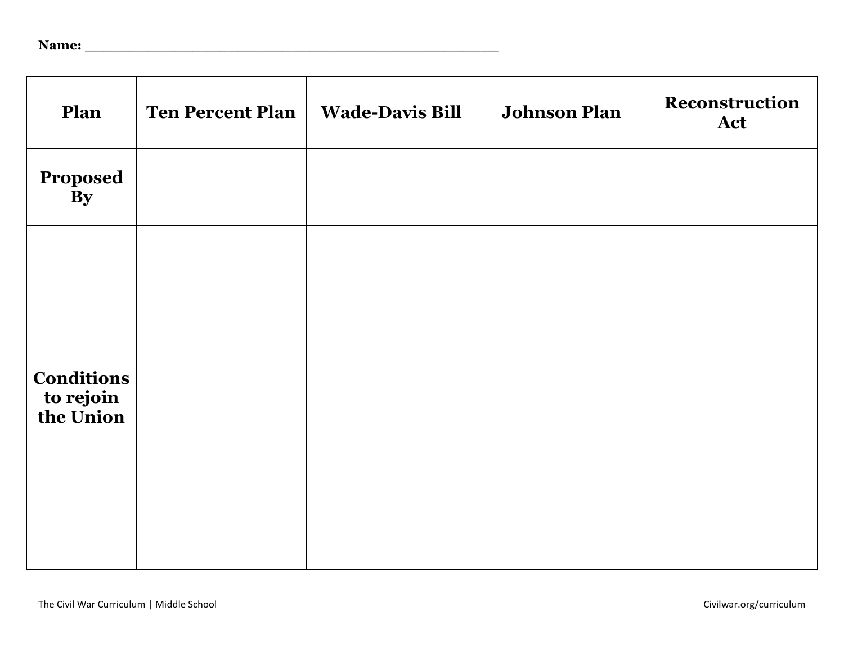| Name: |  |
|-------|--|
|       |  |

| Plan                                        | <b>Ten Percent Plan</b> | <b>Wade-Davis Bill</b> | <b>Johnson Plan</b> | Reconstruction<br>Act |
|---------------------------------------------|-------------------------|------------------------|---------------------|-----------------------|
| Proposed<br>By                              |                         |                        |                     |                       |
| <b>Conditions</b><br>to rejoin<br>the Union |                         |                        |                     |                       |